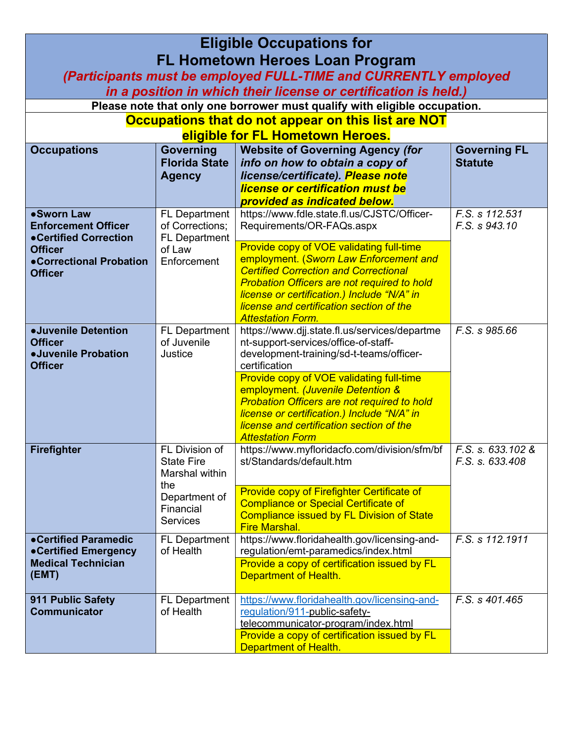| <b>Eligible Occupations for</b><br><b>FL Hometown Heroes Loan Program</b>                                                          |                                                              |                                                                                                                                                                                                                                                                                                                 |                                       |
|------------------------------------------------------------------------------------------------------------------------------------|--------------------------------------------------------------|-----------------------------------------------------------------------------------------------------------------------------------------------------------------------------------------------------------------------------------------------------------------------------------------------------------------|---------------------------------------|
| (Participants must be employed FULL-TIME and CURRENTLY employed<br>in a position in which their license or certification is held.) |                                                              |                                                                                                                                                                                                                                                                                                                 |                                       |
|                                                                                                                                    |                                                              | Please note that only one borrower must qualify with eligible occupation.                                                                                                                                                                                                                                       |                                       |
|                                                                                                                                    |                                                              | Occupations that do not appear on this list are NOT                                                                                                                                                                                                                                                             |                                       |
|                                                                                                                                    |                                                              | eligible for FL Hometown Heroes.                                                                                                                                                                                                                                                                                |                                       |
| <b>Occupations</b>                                                                                                                 | Governing<br><b>Florida State</b><br><b>Agency</b>           | <b>Website of Governing Agency (for</b><br>info on how to obtain a copy of<br>license/certificate). Please note<br>license or certification must be<br>provided as indicated below.                                                                                                                             | <b>Governing FL</b><br><b>Statute</b> |
| •Sworn Law<br><b>Enforcement Officer</b><br>•Certified Correction                                                                  | FL Department<br>of Corrections;<br><b>FL Department</b>     | https://www.fdle.state.fl.us/CJSTC/Officer-<br>Requirements/OR-FAQs.aspx                                                                                                                                                                                                                                        | F.S. s 112.531<br>F.S. s 943.10       |
| <b>Officer</b><br>•Correctional Probation<br><b>Officer</b>                                                                        | of Law<br>Enforcement                                        | Provide copy of VOE validating full-time<br>employment. (Sworn Law Enforcement and<br><b>Certified Correction and Correctional</b><br><b>Probation Officers are not required to hold</b><br>license or certification.) Include "N/A" in<br>license and certification section of the<br><b>Attestation Form.</b> |                                       |
| <b>.Juvenile Detention</b><br><b>Officer</b><br><b>.Juvenile Probation</b><br><b>Officer</b>                                       | <b>FL Department</b><br>of Juvenile<br>Justice               | https://www.djj.state.fl.us/services/departme<br>nt-support-services/office-of-staff-<br>development-training/sd-t-teams/officer-<br>certification                                                                                                                                                              | F.S. s 985.66                         |
|                                                                                                                                    |                                                              | Provide copy of VOE validating full-time<br>employment. (Juvenile Detention &<br><b>Probation Officers are not required to hold</b><br>license or certification.) Include "N/A" in<br>license and certification section of the<br><b>Attestation Form</b>                                                       |                                       |
| <b>Firefighter</b>                                                                                                                 | FL Division of<br><b>State Fire</b><br>Marshal within<br>the | https://www.myfloridacfo.com/division/sfm/bf   F.S. s. 633.102 &<br>st/Standards/default.htm                                                                                                                                                                                                                    | F.S. s. 633.408                       |
|                                                                                                                                    | Department of<br>Financial<br><b>Services</b>                | Provide copy of Firefighter Certificate of<br><b>Compliance or Special Certificate of</b><br><b>Compliance issued by FL Division of State</b><br><b>Fire Marshal.</b>                                                                                                                                           |                                       |
| •Certified Paramedic<br>•Certified Emergency<br><b>Medical Technician</b><br>(EMT)                                                 | <b>FL Department</b><br>of Health                            | https://www.floridahealth.gov/licensing-and-<br>regulation/emt-paramedics/index.html<br>Provide a copy of certification issued by FL<br>Department of Health.                                                                                                                                                   | F.S. s 112.1911                       |
| 911 Public Safety<br><b>Communicator</b>                                                                                           | <b>FL Department</b><br>of Health                            | https://www.floridahealth.gov/licensing-and-<br>regulation/911-public-safety-<br>telecommunicator-program/index.html<br>Provide a copy of certification issued by FL<br>Department of Health.                                                                                                                   | F.S. s 401.465                        |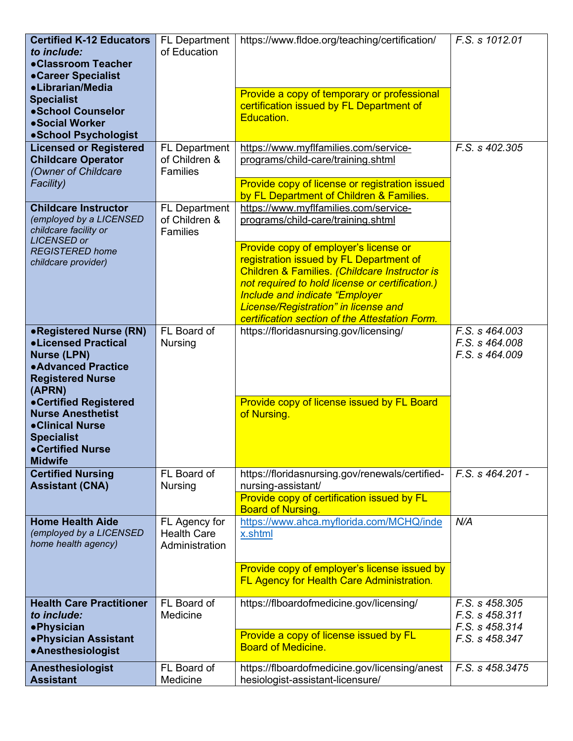| <b>Certified K-12 Educators</b><br>to include:<br>•Classroom Teacher<br>•Career Specialist<br>•Librarian/Media                         | <b>FL Department</b><br>of Education                     | https://www.fldoe.org/teaching/certification/<br>Provide a copy of temporary or professional                                                                                                                                                                                   | F.S. s 1012.01                                                                     |
|----------------------------------------------------------------------------------------------------------------------------------------|----------------------------------------------------------|--------------------------------------------------------------------------------------------------------------------------------------------------------------------------------------------------------------------------------------------------------------------------------|------------------------------------------------------------------------------------|
| <b>Specialist</b><br>·School Counselor<br>•Social Worker<br>•School Psychologist                                                       |                                                          | certification issued by FL Department of<br>Education.                                                                                                                                                                                                                         |                                                                                    |
| <b>Licensed or Registered</b><br><b>Childcare Operator</b><br>(Owner of Childcare<br>Facility)                                         | <b>FL Department</b><br>of Children &<br><b>Families</b> | https://www.myflfamilies.com/service-<br>programs/child-care/training.shtml<br>Provide copy of license or registration issued<br>by FL Department of Children & Families.                                                                                                      | F.S. s 402.305                                                                     |
| <b>Childcare Instructor</b><br>(employed by a LICENSED<br>childcare facility or<br><b>LICENSED or</b>                                  | <b>FL Department</b><br>of Children &<br>Families        | https://www.myflfamilies.com/service-<br>programs/child-care/training.shtml<br>Provide copy of employer's license or                                                                                                                                                           |                                                                                    |
| <b>REGISTERED home</b><br>childcare provider)                                                                                          |                                                          | registration issued by FL Department of<br>Children & Families. (Childcare Instructor is<br>not required to hold license or certification.)<br><b>Include and indicate "Employer</b><br>License/Registration" in license and<br>certification section of the Attestation Form. |                                                                                    |
| •Registered Nurse (RN)<br><b>.Licensed Practical</b><br><b>Nurse (LPN)</b><br>• Advanced Practice<br><b>Registered Nurse</b><br>(APRN) | FL Board of<br><b>Nursing</b>                            | https://floridasnursing.gov/licensing/                                                                                                                                                                                                                                         | F.S. s 464.003<br>F.S. s 464.008<br>F.S. s 464.009                                 |
| •Certified Registered<br><b>Nurse Anesthetist</b><br>•Clinical Nurse<br><b>Specialist</b><br>•Certified Nurse<br><b>Midwife</b>        |                                                          | Provide copy of license issued by FL Board<br>of Nursing.                                                                                                                                                                                                                      |                                                                                    |
| <b>Certified Nursing</b><br><b>Assistant (CNA)</b>                                                                                     | FL Board of<br><b>Nursing</b>                            | https://floridasnursing.gov/renewals/certified-<br>nursing-assistant/<br>Provide copy of certification issued by FL<br><b>Board of Nursing.</b>                                                                                                                                | F.S. s 464.201 -                                                                   |
| <b>Home Health Aide</b><br>(employed by a LICENSED<br>home health agency)                                                              | FL Agency for<br><b>Health Care</b><br>Administration    | https://www.ahca.myflorida.com/MCHQ/inde<br>x.shtml                                                                                                                                                                                                                            | N/A                                                                                |
|                                                                                                                                        |                                                          | Provide copy of employer's license issued by<br>FL Agency for Health Care Administration.                                                                                                                                                                                      |                                                                                    |
| <b>Health Care Practitioner</b><br>to include:<br><b>•Physician</b><br>. Physician Assistant<br>•Anesthesiologist                      | FL Board of<br>Medicine                                  | https://flboardofmedicine.gov/licensing/<br>Provide a copy of license issued by FL<br><b>Board of Medicine.</b>                                                                                                                                                                | $\overline{F}$ .S. s 458.305<br>F.S. s 458.311<br>F.S. s 458.314<br>F.S. s 458.347 |
| Anesthesiologist<br><b>Assistant</b>                                                                                                   | FL Board of<br>Medicine                                  | https://flboardofmedicine.gov/licensing/anest<br>hesiologist-assistant-licensure/                                                                                                                                                                                              | F.S. s 458.3475                                                                    |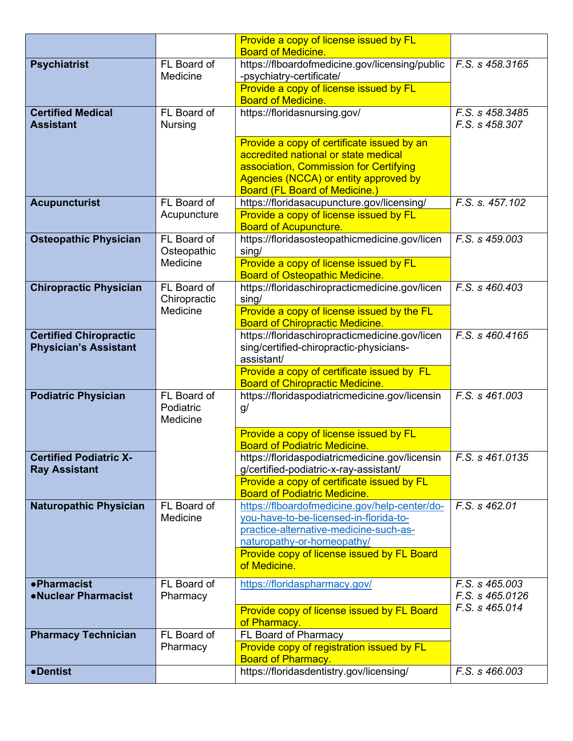|                                                       |                | Provide a copy of license issued by FL                                                   |                 |
|-------------------------------------------------------|----------------|------------------------------------------------------------------------------------------|-----------------|
|                                                       | FL Board of    | <b>Board of Medicine.</b><br>https://flboardofmedicine.gov/licensing/public              | F.S. s 458.3165 |
| <b>Psychiatrist</b>                                   | Medicine       | -psychiatry-certificate/                                                                 |                 |
|                                                       |                | Provide a copy of license issued by FL                                                   |                 |
|                                                       |                | <b>Board of Medicine.</b>                                                                |                 |
| <b>Certified Medical</b>                              | FL Board of    | https://floridasnursing.gov/                                                             | F.S. s 458.3485 |
| <b>Assistant</b>                                      | <b>Nursing</b> |                                                                                          | F.S. s 458.307  |
|                                                       |                | Provide a copy of certificate issued by an                                               |                 |
|                                                       |                | accredited national or state medical                                                     |                 |
|                                                       |                | association, Commission for Certifying                                                   |                 |
|                                                       |                | Agencies (NCCA) or entity approved by                                                    |                 |
|                                                       | FL Board of    | <b>Board (FL Board of Medicine.)</b>                                                     | F.S. s. 457.102 |
| <b>Acupuncturist</b>                                  | Acupuncture    | https://floridasacupuncture.gov/licensing/<br>Provide a copy of license issued by FL     |                 |
|                                                       |                | <b>Board of Acupuncture.</b>                                                             |                 |
| <b>Osteopathic Physician</b>                          | FL Board of    | https://floridasosteopathicmedicine.gov/licen                                            | F.S. s 459.003  |
|                                                       | Osteopathic    | $\sin g/$                                                                                |                 |
|                                                       | Medicine       | Provide a copy of license issued by FL                                                   |                 |
|                                                       | FL Board of    | <b>Board of Osteopathic Medicine.</b>                                                    |                 |
| <b>Chiropractic Physician</b>                         | Chiropractic   | https://floridaschiropracticmedicine.gov/licen<br>sing/                                  | F.S. s 460.403  |
|                                                       | Medicine       | Provide a copy of license issued by the FL                                               |                 |
|                                                       |                | <b>Board of Chiropractic Medicine.</b>                                                   |                 |
| <b>Certified Chiropractic</b>                         |                | https://floridaschiropracticmedicine.gov/licen                                           | F.S. s 460.4165 |
| <b>Physician's Assistant</b>                          |                | sing/certified-chiropractic-physicians-                                                  |                 |
|                                                       |                | assistant/                                                                               |                 |
|                                                       |                | Provide a copy of certificate issued by FL<br><b>Board of Chiropractic Medicine.</b>     |                 |
| <b>Podiatric Physician</b>                            | FL Board of    | https://floridaspodiatricmedicine.gov/licensin                                           | F.S. s 461,003  |
|                                                       | Podiatric      | g/                                                                                       |                 |
|                                                       | Medicine       |                                                                                          |                 |
|                                                       |                | Provide a copy of license issued by FL                                                   |                 |
|                                                       |                | <b>Board of Podiatric Medicine.</b>                                                      |                 |
| <b>Certified Podiatric X-</b><br><b>Ray Assistant</b> |                | https://floridaspodiatricmedicine.gov/licensin<br>g/certified-podiatric-x-ray-assistant/ | F.S. s 461.0135 |
|                                                       |                | Provide a copy of certificate issued by FL                                               |                 |
|                                                       |                | <b>Board of Podiatric Medicine.</b>                                                      |                 |
| <b>Naturopathic Physician</b>                         | FL Board of    | https://flboardofmedicine.gov/help-center/do-                                            | F.S. s 462.01   |
|                                                       | Medicine       | you-have-to-be-licensed-in-florida-to-                                                   |                 |
|                                                       |                | practice-alternative-medicine-such-as-<br>naturopathy-or-homeopathy/                     |                 |
|                                                       |                | Provide copy of license issued by FL Board                                               |                 |
|                                                       |                | of Medicine.                                                                             |                 |
| • Pharmacist                                          | FL Board of    | https://floridaspharmacy.gov/                                                            | F.S. s 465.003  |
| •Nuclear Pharmacist                                   | Pharmacy       |                                                                                          | F.S. s 465.0126 |
|                                                       |                | Provide copy of license issued by FL Board                                               | F.S. s 465.014  |
|                                                       |                | of Pharmacy.                                                                             |                 |
| <b>Pharmacy Technician</b>                            | FL Board of    | FL Board of Pharmacy                                                                     |                 |
|                                                       | Pharmacy       | Provide copy of registration issued by FL                                                |                 |
|                                                       |                | <b>Board of Pharmacy.</b>                                                                |                 |
| •Dentist                                              |                | https://floridasdentistry.gov/licensing/                                                 | F.S. s 466.003  |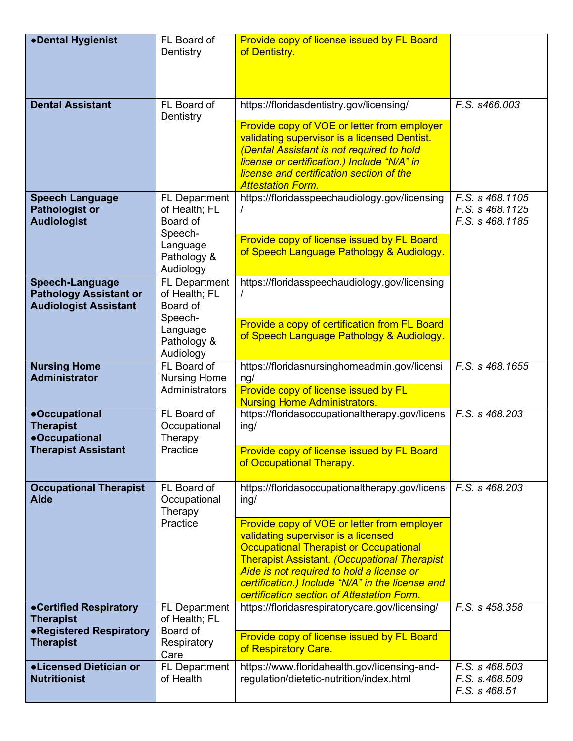| •Dental Hygienist                                                                              | FL Board of<br>Dentistry                                                                             | Provide copy of license issued by FL Board<br>of Dentistry.                                                                                                                                                                                                                                                                                                                                         |                                                       |
|------------------------------------------------------------------------------------------------|------------------------------------------------------------------------------------------------------|-----------------------------------------------------------------------------------------------------------------------------------------------------------------------------------------------------------------------------------------------------------------------------------------------------------------------------------------------------------------------------------------------------|-------------------------------------------------------|
| <b>Dental Assistant</b>                                                                        | FL Board of<br>Dentistry                                                                             | https://floridasdentistry.gov/licensing/<br>Provide copy of VOE or letter from employer<br>validating supervisor is a licensed Dentist.<br>(Dental Assistant is not required to hold<br>license or certification.) Include "N/A" in<br>license and certification section of the<br><b>Attestation Form.</b>                                                                                         | F.S. s466.003                                         |
| <b>Speech Language</b><br><b>Pathologist or</b><br><b>Audiologist</b>                          | <b>FL Department</b><br>of Health; FL<br>Board of<br>Speech-<br>Language<br>Pathology &<br>Audiology | https://floridasspeechaudiology.gov/licensing<br>Provide copy of license issued by FL Board<br>of Speech Language Pathology & Audiology.                                                                                                                                                                                                                                                            | F.S. s 468.1105<br>F.S. s 468.1125<br>F.S. s 468.1185 |
| <b>Speech-Language</b><br><b>Pathology Assistant or</b><br><b>Audiologist Assistant</b>        | <b>FL Department</b><br>of Health; FL<br>Board of<br>Speech-<br>Language<br>Pathology &<br>Audiology | https://floridasspeechaudiology.gov/licensing<br>Provide a copy of certification from FL Board<br>of Speech Language Pathology & Audiology.                                                                                                                                                                                                                                                         |                                                       |
| <b>Nursing Home</b><br><b>Administrator</b>                                                    | FL Board of<br><b>Nursing Home</b><br>Administrators                                                 | https://floridasnursinghomeadmin.gov/licensi<br>ng/<br>Provide copy of license issued by FL<br><b>Nursing Home Administrators.</b>                                                                                                                                                                                                                                                                  | F.S. s 468.1655                                       |
| <b>•Occupational</b><br><b>Therapist</b><br><b>•Occupational</b><br><b>Therapist Assistant</b> | FL Board of<br>Occupational<br>Therapy<br>Practice                                                   | https://floridasoccupationaltherapy.gov/licens<br>ing/<br>Provide copy of license issued by FL Board<br>of Occupational Therapy.                                                                                                                                                                                                                                                                    | F.S. s 468.203                                        |
| <b>Occupational Therapist</b><br><b>Aide</b>                                                   | FL Board of<br>Occupational<br>Therapy<br>Practice                                                   | https://floridasoccupationaltherapy.gov/licens<br>ing/<br>Provide copy of VOE or letter from employer<br>validating supervisor is a licensed<br><b>Occupational Therapist or Occupational</b><br><b>Therapist Assistant. (Occupational Therapist</b><br>Aide is not required to hold a license or<br>certification.) Include "N/A" in the license and<br>certification section of Attestation Form. | F.S. s 468.203                                        |
| •Certified Respiratory<br><b>Therapist</b><br>•Registered Respiratory<br><b>Therapist</b>      | <b>FL Department</b><br>of Health; FL<br>Board of<br>Respiratory<br>Care                             | https://floridasrespiratorycare.gov/licensing/<br>Provide copy of license issued by FL Board<br>of Respiratory Care.                                                                                                                                                                                                                                                                                | F.S. s 458.358                                        |
| <b>.Licensed Dietician or</b><br><b>Nutritionist</b>                                           | <b>FL Department</b><br>of Health                                                                    | https://www.floridahealth.gov/licensing-and-<br>regulation/dietetic-nutrition/index.html                                                                                                                                                                                                                                                                                                            | F.S. s 468.503<br>F.S. s.468.509<br>F.S. s 468.51     |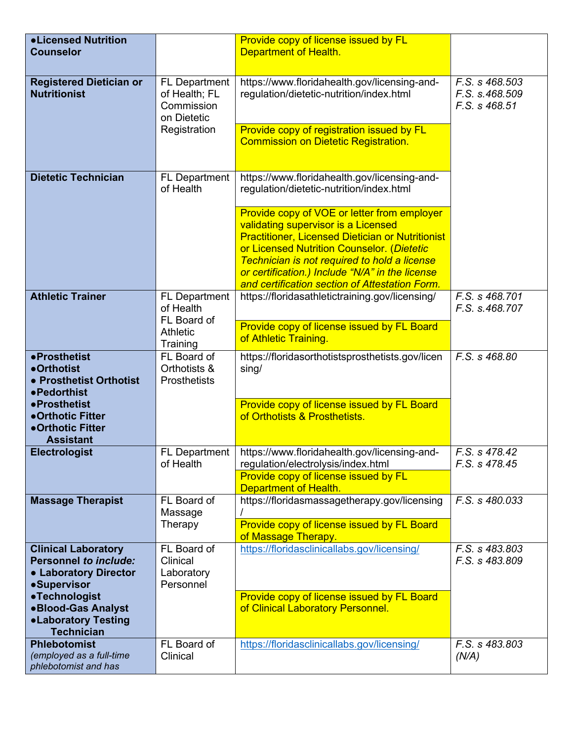| <b>.Licensed Nutrition</b><br><b>Counselor</b>                                                            |                                                                                    | Provide copy of license issued by FL<br>Department of Health.                                                                                                                                                                                                                                  |                                                   |
|-----------------------------------------------------------------------------------------------------------|------------------------------------------------------------------------------------|------------------------------------------------------------------------------------------------------------------------------------------------------------------------------------------------------------------------------------------------------------------------------------------------|---------------------------------------------------|
| <b>Registered Dietician or</b><br><b>Nutritionist</b>                                                     | <b>FL Department</b><br>of Health; FL<br>Commission<br>on Dietetic<br>Registration | https://www.floridahealth.gov/licensing-and-<br>regulation/dietetic-nutrition/index.html<br>Provide copy of registration issued by FL                                                                                                                                                          | F.S. s 468.503<br>F.S. s.468.509<br>F.S. s 468.51 |
|                                                                                                           |                                                                                    | <b>Commission on Dietetic Registration.</b>                                                                                                                                                                                                                                                    |                                                   |
| <b>Dietetic Technician</b>                                                                                | FL Department<br>of Health                                                         | https://www.floridahealth.gov/licensing-and-<br>regulation/dietetic-nutrition/index.html                                                                                                                                                                                                       |                                                   |
|                                                                                                           |                                                                                    | Provide copy of VOE or letter from employer<br>validating supervisor is a Licensed<br><b>Practitioner, Licensed Dietician or Nutritionist</b><br>or Licensed Nutrition Counselor. (Dietetic<br>Technician is not required to hold a license<br>or certification.) Include "N/A" in the license |                                                   |
| <b>Athletic Trainer</b>                                                                                   | FL Department                                                                      | and certification section of Attestation Form.<br>https://floridasathletictraining.gov/licensing/                                                                                                                                                                                              | F.S. s 468.701                                    |
|                                                                                                           | of Health<br>FL Board of<br><b>Athletic</b><br>Training                            | Provide copy of license issued by FL Board<br>of Athletic Training.                                                                                                                                                                                                                            | F.S. s.468.707                                    |
| •Prosthetist<br>•Orthotist<br>• Prosthetist Orthotist<br>•Pedorthist                                      | FL Board of<br>Orthotists &<br><b>Prosthetists</b>                                 | https://floridasorthotistsprosthetists.gov/licen<br>sing/                                                                                                                                                                                                                                      | F.S. s 468.80                                     |
| •Prosthetist<br>•Orthotic Fitter<br>•Orthotic Fitter<br><b>Assistant</b>                                  |                                                                                    | Provide copy of license issued by FL Board<br>of Orthotists & Prosthetists.                                                                                                                                                                                                                    |                                                   |
| <b>Electrologist</b>                                                                                      | FL Department  <br>of Health                                                       | https://www.floridahealth.gov/licensing-and-<br>regulation/electrolysis/index.html<br>Provide copy of license issued by FL<br>Department of Health.                                                                                                                                            | F.S. s 478.42<br>F.S. s 478.45                    |
| <b>Massage Therapist</b>                                                                                  | FL Board of<br>Massage<br>Therapy                                                  | https://floridasmassagetherapy.gov/licensing<br>Provide copy of license issued by FL Board<br>of Massage Therapy.                                                                                                                                                                              | F.S. s 480.033                                    |
| <b>Clinical Laboratory</b><br><b>Personnel to include:</b><br>• Laboratory Director<br><b>•Supervisor</b> | FL Board of<br>Clinical<br>Laboratory<br>Personnel                                 | https://floridasclinicallabs.gov/licensing/                                                                                                                                                                                                                                                    | F.S. s 483.803<br>F.S. s 483.809                  |
| •Technologist<br><b>.Blood-Gas Analyst</b><br><b>.Laboratory Testing</b><br><b>Technician</b>             |                                                                                    | Provide copy of license issued by FL Board<br>of Clinical Laboratory Personnel.                                                                                                                                                                                                                |                                                   |
| <b>Phlebotomist</b><br>(employed as a full-time                                                           | FL Board of<br>Clinical                                                            | https://floridasclinicallabs.gov/licensing/                                                                                                                                                                                                                                                    | F.S. s 483.803<br>(N/A)                           |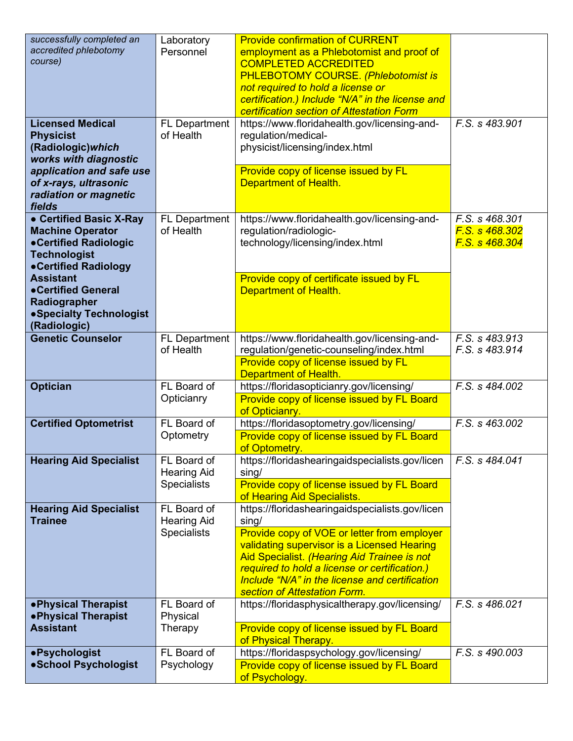| successfully completed an<br>accredited phlebotomy<br>course)<br><b>Licensed Medical</b><br><b>Physicist</b><br>(Radiologic) which<br>works with diagnostic<br>application and safe use<br>of x-rays, ultrasonic<br>radiation or magnetic  | Laboratory<br>Personnel<br><b>FL Department</b><br>of Health | <b>Provide confirmation of CURRENT</b><br>employment as a Phlebotomist and proof of<br><b>COMPLETED ACCREDITED</b><br><b>PHLEBOTOMY COURSE. (Phlebotomist is</b><br>not required to hold a license or<br>certification.) Include "N/A" in the license and<br>certification section of Attestation Form<br>https://www.floridahealth.gov/licensing-and-<br>regulation/medical-<br>physicist/licensing/index.html<br>Provide copy of license issued by FL<br>Department of Health. | F.S. s 483.901                                     |
|--------------------------------------------------------------------------------------------------------------------------------------------------------------------------------------------------------------------------------------------|--------------------------------------------------------------|----------------------------------------------------------------------------------------------------------------------------------------------------------------------------------------------------------------------------------------------------------------------------------------------------------------------------------------------------------------------------------------------------------------------------------------------------------------------------------|----------------------------------------------------|
| fields<br>• Certified Basic X-Ray<br><b>Machine Operator</b><br>•Certified Radiologic<br><b>Technologist</b><br>•Certified Radiology<br><b>Assistant</b><br>•Certified General<br>Radiographer<br>• Specialty Technologist<br>(Radiologic) | <b>FL Department</b><br>of Health                            | https://www.floridahealth.gov/licensing-and-<br>regulation/radiologic-<br>technology/licensing/index.html<br>Provide copy of certificate issued by FL<br>Department of Health.                                                                                                                                                                                                                                                                                                   | F.S. s 468.301<br>F.S. s 468.302<br>F.S. s 468.304 |
| <b>Genetic Counselor</b>                                                                                                                                                                                                                   | FL Department<br>of Health                                   | https://www.floridahealth.gov/licensing-and-<br>regulation/genetic-counseling/index.html<br>Provide copy of license issued by FL<br>Department of Health.                                                                                                                                                                                                                                                                                                                        | F.S. s 483.913<br>F.S. s 483.914                   |
| <b>Optician</b>                                                                                                                                                                                                                            | FL Board of<br>Opticianry                                    | https://floridasopticianry.gov/licensing/<br>Provide copy of license issued by FL Board<br>of Opticianry.                                                                                                                                                                                                                                                                                                                                                                        | F.S. s 484.002                                     |
| <b>Certified Optometrist</b>                                                                                                                                                                                                               | FL Board of<br>Optometry                                     | https://floridasoptometry.gov/licensing/<br>Provide copy of license issued by FL Board<br>of Optometry.                                                                                                                                                                                                                                                                                                                                                                          | F.S. s 463.002                                     |
| <b>Hearing Aid Specialist</b>                                                                                                                                                                                                              | FL Board of<br><b>Hearing Aid</b><br><b>Specialists</b>      | https://floridashearingaidspecialists.gov/licen<br>sing/<br>Provide copy of license issued by FL Board<br>of Hearing Aid Specialists.                                                                                                                                                                                                                                                                                                                                            | F.S. s 484.041                                     |
| <b>Hearing Aid Specialist</b><br><b>Trainee</b>                                                                                                                                                                                            | FL Board of<br><b>Hearing Aid</b><br><b>Specialists</b>      | https://floridashearingaidspecialists.gov/licen<br>sing/<br>Provide copy of VOE or letter from employer<br>validating supervisor is a Licensed Hearing<br>Aid Specialist. (Hearing Aid Trainee is not<br>required to hold a license or certification.)<br>Include "N/A" in the license and certification<br>section of Attestation Form.                                                                                                                                         |                                                    |
| • Physical Therapist<br>. Physical Therapist<br><b>Assistant</b>                                                                                                                                                                           | FL Board of<br>Physical<br>Therapy                           | https://floridasphysicaltherapy.gov/licensing/<br>Provide copy of license issued by FL Board<br>of Physical Therapy.                                                                                                                                                                                                                                                                                                                                                             | F.S. s 486.021                                     |
| •Psychologist<br>·School Psychologist                                                                                                                                                                                                      | FL Board of<br>Psychology                                    | https://floridaspsychology.gov/licensing/<br>Provide copy of license issued by FL Board<br>of Psychology.                                                                                                                                                                                                                                                                                                                                                                        | F.S. s 490.003                                     |